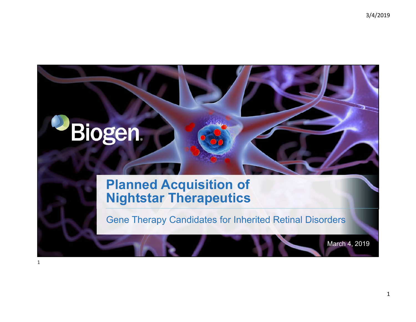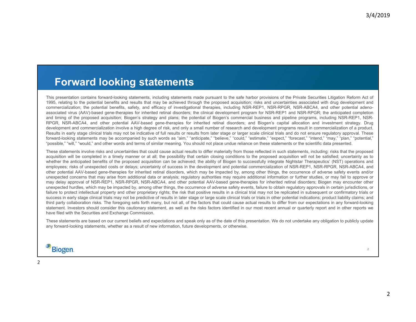### **Forward looking statements**

This presentation contains forward-looking statements, including statements made pursuant to the safe harbor provisions of the Private Securities Litigation Reform Act of 1995, relating to the potential benefits and results that may be achieved through the proposed acquisition; risks and uncertainties associated with drug development and commercialization; the potential benefits, safety, and efficacy of investigational therapies, including NSR-REP1, NSR-RPGR, NSR-ABCA4, and other potential adenoassociated virus (AAV)-based gene-therapies for inherited retinal disorders; the clinical development program for NSR-REP1 and NSR-RPGR; the anticipated completion and timing of the proposed acquisition; Biogen's strategy and plans; the potential of Biogen's commercial business and pipeline programs, including NSR-REP1, NSR-RPGR, NSR-ABCA4, and other potential AAV-based gene-therapies for inherited retinal disorders; and Biogen's capital allocation and investment strategy. Drug development and commercialization involve <sup>a</sup> high degree of risk, and only <sup>a</sup> small number of research and development programs result in commercialization of <sup>a</sup> product. Results in early stage clinical trials may not be indicative of full results or results from later stage or larger scale clinical trials and do not ensure regulatory approval. These forward-looking statements may be accompanied by such words as "aim," "anticipate," "believe," "could," "estimate," "expect," "forecast," "intend," "may," "plan," "potential," "possible," "will," "would," and other words and terms of similar meaning. You should not place undue reliance on these statements or the scientific data presented.

These statements involve risks and uncertainties that could cause actual results to differ materially from those reflected in such statements, including: risks that the proposed acquisition will be completed in <sup>a</sup> timely manner or at all; the possibility that certain closing conditions to the proposed acquisition will not be satisfied; uncertainty as to whether the anticipated benefits of the proposed acquisition can be achieved; the ability of Biogen to successfully integrate Nightstar Therapeutics' (NST) operations and employees; risks of unexpected costs or delays; uncertainty of success in the development and potential commercialization of NSR-REP1, NSR-RPGR, NSR-ABCA4, and other potential AAV-based gene-therapies for inherited retinal disorders, which may be impacted by, among other things, the occurrence of adverse safety events and/or unexpected concerns that may arise from additional data or analysis; regulatory authorities may require additional information or further studies, or may fail to approve or may delay approval of NSR-REP1, NSR-RPGR, NSR-ABCA4, and other potential AAV-based gene-therapies for inherited retinal disorders; Biogen may encounter other unexpected hurdles, which may be impacted by, among other things, the occurrence of adverse safety events, failure to obtain regulatory approvals in certain jurisdictions, or failure to protect intellectual property and other proprietary rights; the risk that positive results in a clinical trial may not be replicated in subsequent or confirmatory trials or success in early stage clinical trials may not be predictive of results in later stage or large scale clinical trials or trials in other potential indications; product liability claims; and third party collaboration risks. The foregoing sets forth many, but not all, of the factors that could cause actual results to differ from our expectations in any forward-looking statement. Investors should consider this cautionary statement, as well as the risks factors identified in our most recent annual or quarterly report and in other reports we have filed with the Securities and Exchange Commission.

These statements are based on our current beliefs and expectations and speak only as of the date of this presentation. We do not undertake any obligation to publicly update any forward-looking statements, whether as <sup>a</sup> result of new information, future developments, or otherwise.

### Biogen.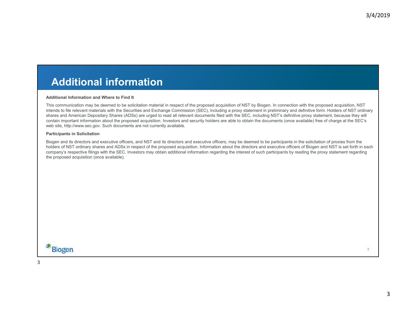### **Additional information**

#### **Additional Information and Where to Find It**

This communication may be deemed to be solicitation material in respect of the proposed acquisition of NST by Biogen. In connection with the proposed acquisition, NST intends to file relevant materials with the Securities and Exchange Commission (SEC), including a proxy statement in preliminary and definitive form. Holders of NST ordinary shares and American Depositary Shares (ADSs) are urged to read all relevant documents filed with the SEC, including NST's definitive proxy statement, because they will contain important information about the proposed acquisition. Investors and security holders are able to obtain the documents (once available) free of charge at the SEC's web site, http://www.sec.gov. Such documents are not currently available.

#### **Participants in Solicitation**

Biogen and its directors and executive officers, and NST and its directors and executive officers, may be deemed to be participants in the solicitation of proxies from the holders of NST ordinary shares and ADSs in respect of the proposed acquisition. Information about the directors and executive officers of Biogen and NST is set forth in each company's respective filings with the SEC. Investors may obtain additional information regarding the interest of such participants by reading the proxy statement regarding the proposed acquisition (once available).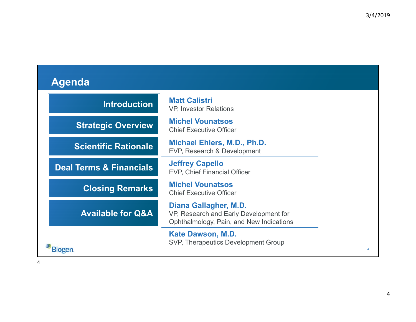| Agenda |
|--------|
|--------|

| <b>Introduction</b>                | <b>Matt Calistri</b><br>VP, Investor Relations                                                              |
|------------------------------------|-------------------------------------------------------------------------------------------------------------|
| <b>Strategic Overview</b>          | <b>Michel Vounatsos</b><br><b>Chief Executive Officer</b>                                                   |
| <b>Scientific Rationale</b>        | Michael Ehlers, M.D., Ph.D.<br>EVP, Research & Development                                                  |
| <b>Deal Terms &amp; Financials</b> | <b>Jeffrey Capello</b><br><b>EVP, Chief Financial Officer</b>                                               |
| <b>Closing Remarks</b>             | <b>Michel Vounatsos</b><br><b>Chief Executive Officer</b>                                                   |
| <b>Available for Q&amp;A</b>       | Diana Gallagher, M.D.<br>VP, Research and Early Development for<br>Ophthalmology, Pain, and New Indications |
| 310gen                             | <b>Kate Dawson, M.D.</b><br>SVP, Therapeutics Development Group                                             |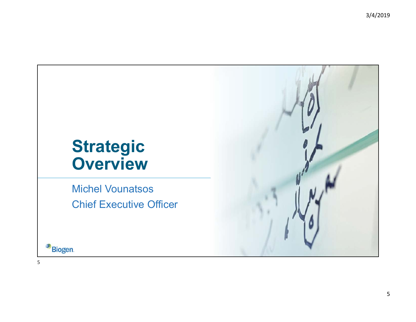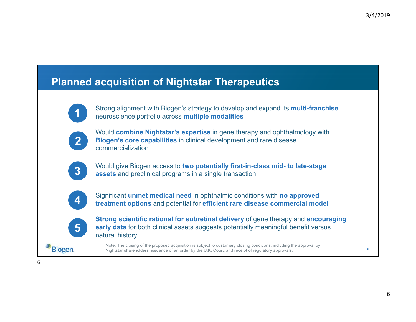### **Planned acquisition of Nightstar Therapeutics**



Strong alignment with Biogen's strategy to develop and expand its **multi-franchise**  neuroscience portfolio across **multiple modalities**



Would **combine Nightstar's expertise** in gene therapy and ophthalmology with **Biogen's core capabilities** in clinical development and rare disease commercialization



Would give Biogen access to **two potentially first-in-class mid- to late-stage assets** and preclinical programs in a single transaction



Significant **unmet medical need** in ophthalmic conditions with **no approved treatment options** and potential for **efficient rare disease commercial model**



**Biogen** 

**Strong scientific rational for subretinal delivery** of gene therapy and **encouraging early data** for both clinical assets suggests potentially meaningful benefit versus natural history

Note: The closing of the proposed acquisition is subject to customary closing conditions, including the approval by Nightstar shareholders, issuance of an order by the U.K. Court, and receipt of regulatory approvals.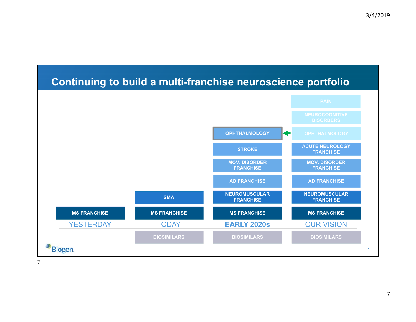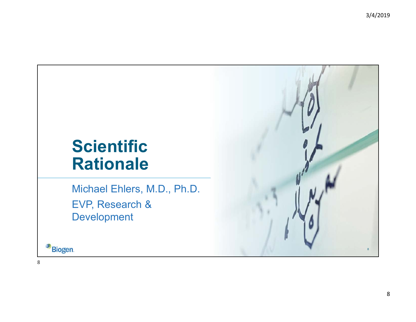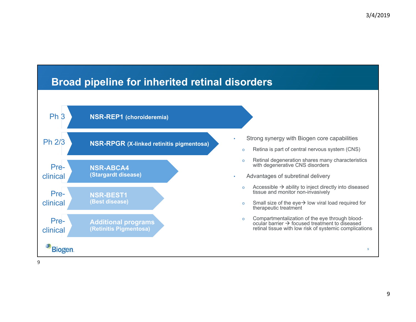### **Broad pipeline for inherited retinal disorders**

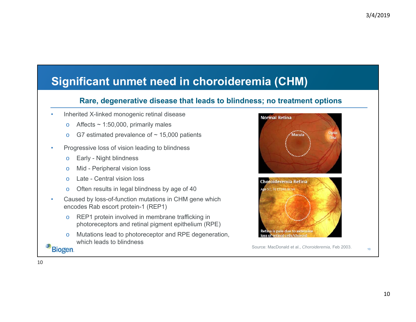### **Significant unmet need in choroideremia (CHM)**

#### **Rare, degenerative disease that leads to blindness; no treatment options**

- • Inherited X-linked monogenic retinal disease
	- oAffects  $\sim$  1:50,000, primarily males
	- oG7 estimated prevalence of  $\sim$  15,000 patients
- • Progressive loss of vision leading to blindness
	- oEarly - Night blindness
	- oMid - Peripheral vision loss
	- oLate - Central vision loss
	- oOften results in legal blindness by age of 40
- • Caused by loss-of-function mutations in CHM gene which encodes Rab escort protein-1 (REP1)
	- o REP1 protein involved in membrane trafficking in photoreceptors and retinal pigment epithelium (RPE)
	- o Mutations lead to photoreceptor and RPE degeneration, which leads to blindness

**Biogen** 

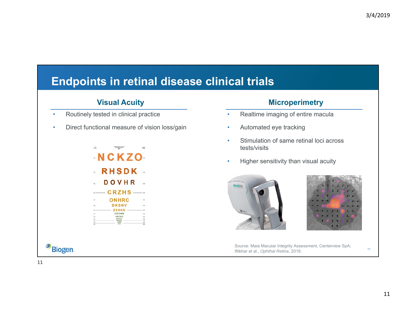# **Endpoints in retinal disease clinical trials**

- •Routinely tested in clinical practice
- •Direct functional measure of vision loss/gain



#### **Visual Acuity Microperimetry**

- •Realtime imaging of entire macula
- •Automated eye tracking
- • Stimulation of same retinal loci across tests/visits
- •Higher sensitivity than visual acuity





Source: Maia Macular Integrity Assessment, Centerview SpA; Iftikhar et al., *Ophthal Retina*, 2018.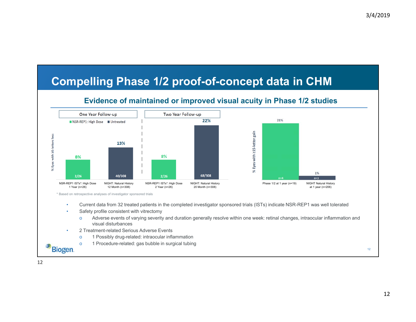### **Compelling Phase 1/2 proof-of-concept data in CHM**

#### **Evidence of maintained or improved visual acuity in Phase 1/2 studies**



o1 Procedure-related: gas bubble in surgical tubing

12

**Biogen**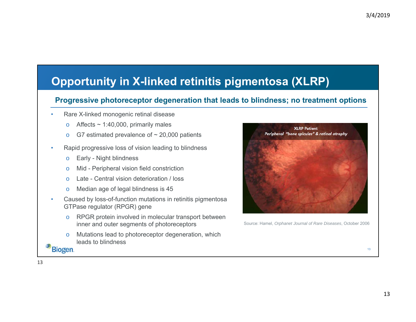# **Opportunity in X-linked retinitis pigmentosa (XLRP)**

#### **Progressive photoreceptor degeneration that leads to blindness; no treatment options**

- • Rare X-linked monogenic retinal disease
	- oAffects  $\sim$  1:40,000, primarily males
	- oG7 estimated prevalence of  $\sim$  20,000 patients
- • Rapid progressive loss of vision leading to blindness
	- oEarly - Night blindness
	- oMid - Peripheral vision field constriction
	- oLate - Central vision deterioration / loss
	- oMedian age of legal blindness is 45
- • Caused by loss-of-function mutations in retinitis pigmentosa GTPase regulator (RPGR) gene
	- o RPGR protein involved in molecular transport between inner and outer segments of photoreceptors
	- o Mutations lead to photoreceptor degeneration, which leads to blindness

**Biogen** 



Source: Hamel, *Orphanet Journal of Rare Diseases*, October 2006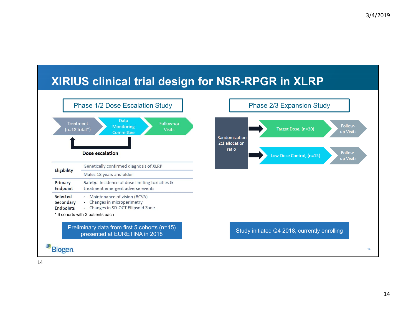### **XIRIUS clinical trial design for NSR-RPGR in XLRP**



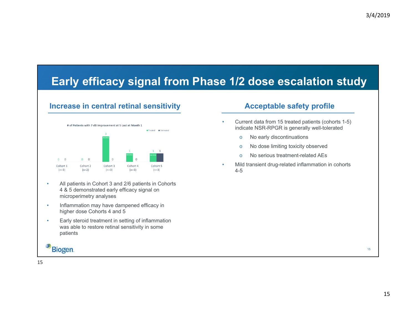# **Early efficacy signal from Phase 1/2 dose escalation study**

#### **Increase in central retinal sensitivity**



- • All patients in Cohort 3 and 2/6 patients in Cohorts 4 & 5 demonstrated early efficacy signal on microperimetry analyses
- • Inflammation may have dampened efficacy in higher dose Cohorts 4 and 5
- • Early steroid treatment in setting of inflammation was able to restore retinal sensitivity in some patients

### **Biogen**

#### **Acceptable safety profile**

- Current data from 15 treated patients (cohorts 1-5) indicate NSR-RPGR is generally well-tolerated
	- oNo early discontinuations
	- oNo dose limiting toxicity observed
	- oNo serious treatment-related AEs
- • Mild transient drug-related inflammation in cohorts 4-5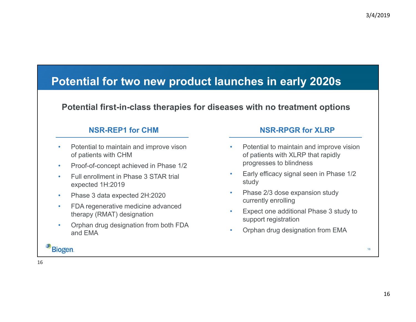### **Potential for two new product launches in early 2020s**

### **Potential first-in-class therapies for diseases with no treatment options**

#### **NSR-REP1 for CHM**

- • Potential to maintain and improve vison of patients with CHM
- •Proof-of-concept achieved in Phase 1/2
- • Full enrollment in Phase 3 STAR trial expected 1H:2019
- •Phase 3 data expected 2H:2020
- • FDA regenerative medicine advanced therapy (RMAT) designation
- • Orphan drug designation from both FDA and EMA

#### **NSR-RPGR for XLRP**

- • Potential to maintain and improve vision of patients with XLRP that rapidly progresses to blindness
- • Early efficacy signal seen in Phase 1/2 study
- • Phase 2/3 dose expansion study currently enrolling
- • Expect one additional Phase 3 study to support registration
- •Orphan drug designation from EMA

Biogen.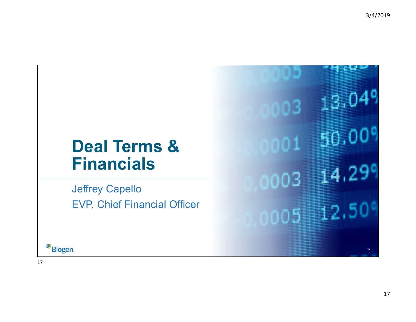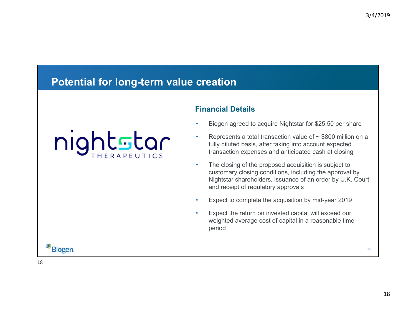### **Potential for long-term value creation**

nightstar

#### **Financial Details**

- •Biogen agreed to acquire Nightstar for \$25.50 per share
- •Represents a total transaction value of  $\sim$  \$800 million on a fully diluted basis, after taking into account expected transaction expenses and anticipated cash at closing
- • The closing of the proposed acquisition is subject to customary closing conditions, including the approval by Nightstar shareholders, issuance of an order by U.K. Court, and receipt of regulatory approvals
- •Expect to complete the acquisition by mid-year 2019
- • Expect the return on invested capital will exceed our weighted average cost of capital in a reasonable time period

**Biogen**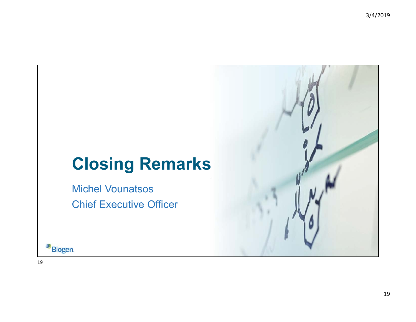